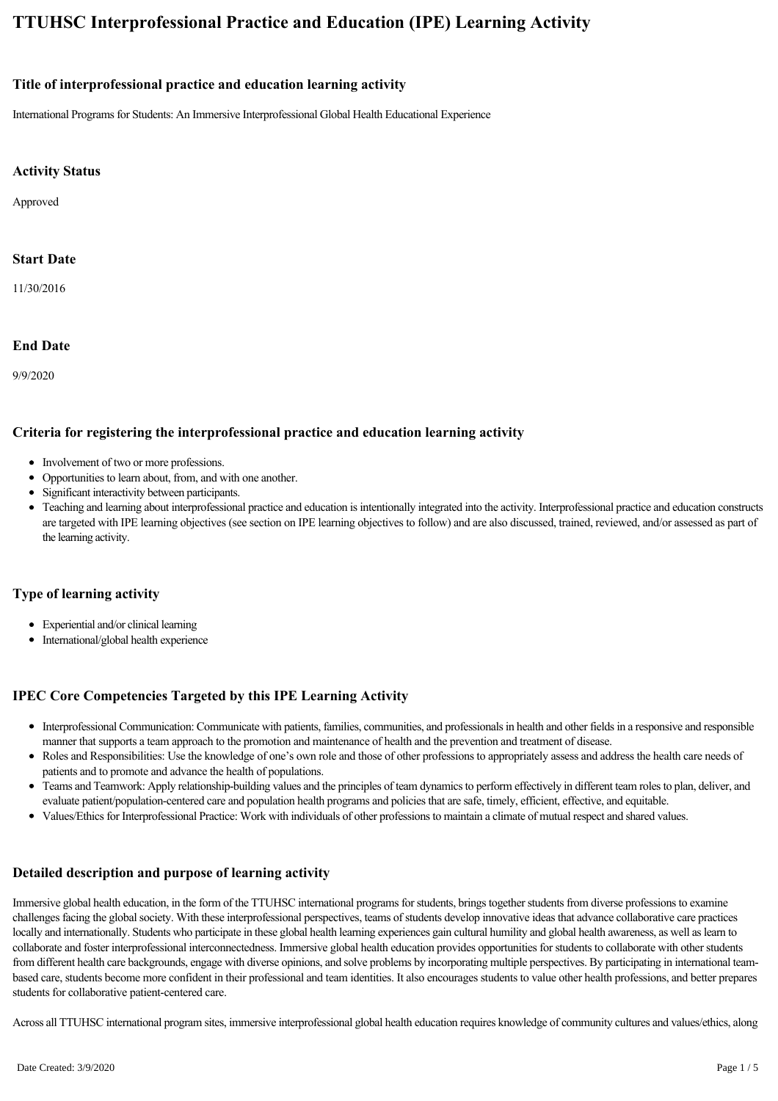# **TTUHSC Interprofessional Practice and Education (IPE) Learning Activity**

#### **Title of interprofessional practice and education learning activity**

International Programs for Students: An Immersive Interprofessional Global Health Educational Experience

#### **Activity Status**

Approved

#### **Start Date**

11/30/2016

#### **End Date**

9/9/2020

#### **Criteria for registering the interprofessional practice and education learning activity**

- Involvement of two or more professions.
- Opportunities to learn about, from, and with one another.
- Significant interactivity between participants.
- Teaching and learning about interprofessional practice and education is intentionally integrated into the activity. Interprofessional practice and education constructs are targeted with IPE learning objectives (see section on IPE learning objectives to follow) and are also discussed, trained, reviewed, and/or assessed as part of the learning activity.

#### **Type of learning activity**

- Experiential and/or clinical learning
- International/global health experience

# **IPEC Core Competencies Targeted by this IPE Learning Activity**

- Interprofessional Communication: Communicate with patients, families, communities, and professionals in health and other fields in a responsive and responsible manner that supports a team approach to the promotion and maintenance of health and the prevention and treatment of disease.
- Roles and Responsibilities: Use the knowledge of one's own role and those of other professions to appropriately assess and address the health care needs of patients and to promote and advance the health of populations.
- Teams and Teamwork: Apply relationship-building values and the principles of team dynamics to perform effectively in different team roles to plan, deliver, and evaluate patient/population-centered care and population health programs and policies that are safe, timely, efficient, effective, and equitable.
- Values/Ethics for Interprofessional Practice: Work with individuals of other professions to maintain a climate of mutual respect and shared values.  $\bullet$

# **Detailed description and purpose of learning activity**

Immersive global health education, in the form of the TTUHSC international programs for students, brings together students from diverse professions to examine challenges facing the global society. With these interprofessional perspectives, teams of students develop innovative ideas that advance collaborative care practices locally and internationally. Students who participate in these global health learning experiences gain cultural humility and global health awareness, as well as learn to collaborate and foster interprofessional interconnectedness. Immersive global health education provides opportunities for students to collaborate with other students from different health care backgrounds, engage with diverse opinions, and solve problems by incorporating multiple perspectives. By participating in international teambased care, students become more confident in their professional and team identities. It also encourages students to value other health professions, and better prepares students for collaborative patient-centered care.

Across all TTUHSC international program sites, immersive interprofessional global health education requires knowledge of community cultures and values/ethics, along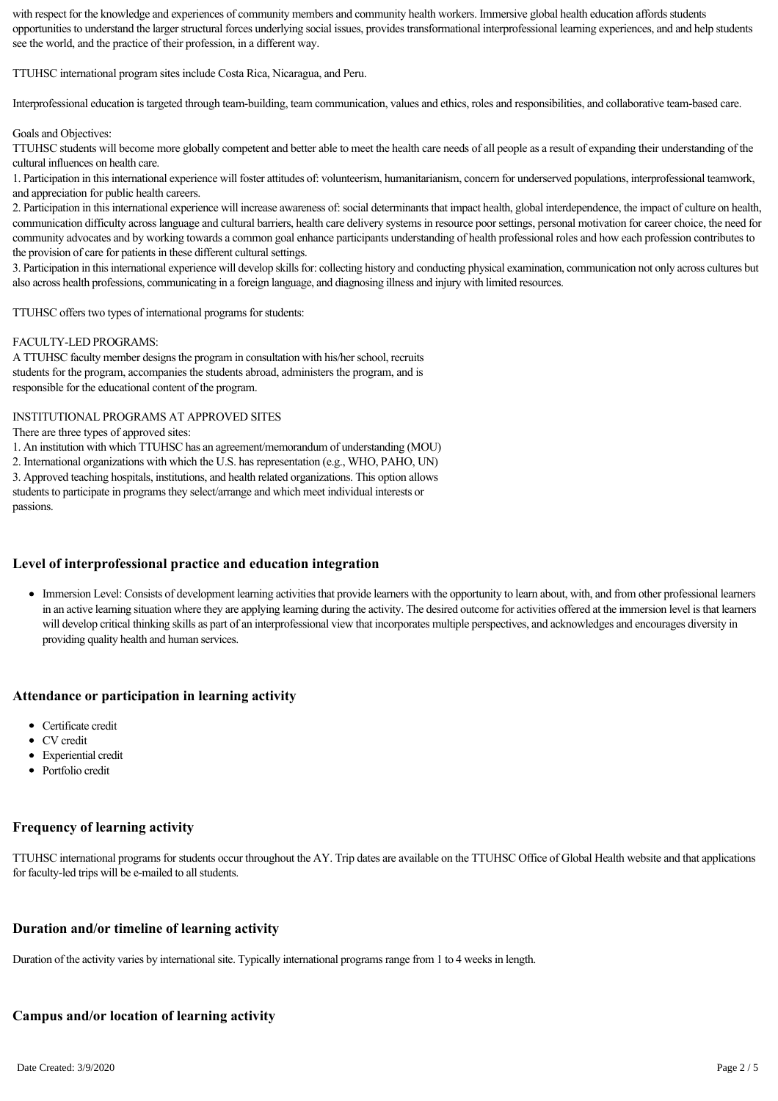with respect for the knowledge and experiences of community members and community health workers. Immersive global health education affords students opportunities to understand the larger structural forces underlying social issues, provides transformational interprofessional learning experiences, and and help students see the world, and the practice of their profession, in a different way.

TTUHSC international program sites include Costa Rica, Nicaragua, and Peru.

Interprofessional education is targeted through team-building, team communication, values and ethics, roles and responsibilities, and collaborative team-based care.

#### Goals and Objectives:

TTUHSC students will become more globally competent and better able to meet the health care needs of all people as a result of expanding their understanding of the cultural influences on health care.

1. Participation in this international experience will foster attitudes of: volunteerism, humanitarianism, concern for underserved populations, interprofessional teamwork, and appreciation for public health careers.

2. Participation in this international experience will increase awareness of: social determinants that impact health, global interdependence, the impact of culture on health, communication difficulty across language and cultural barriers, health care delivery systems in resource poor settings, personal motivation for career choice, the need for community advocates and by working towards a common goal enhance participants understanding of health professional roles and how each profession contributes to the provision of care for patients in these different cultural settings.

3. Participation in this international experience will develop skills for: collecting history and conducting physical examination, communication not only across cultures but also across health professions, communicating in a foreign language, and diagnosing illness and injury with limited resources.

TTUHSC offers two types of international programs for students:

#### FACULTYLED PROGRAMS:

A TTUHSC faculty member designs the program in consultation with his/her school, recruits students for the program, accompanies the students abroad, administers the program, and is responsible for the educational content of the program.

#### INSTITUTIONAL PROGRAMS AT APPROVED SITES

There are three types of approved sites:

1. An institution with which TTUHSC has an agreement/memorandum of understanding (MOU)

2. International organizations with which the U.S. has representation (e.g., WHO, PAHO, UN)

3. Approved teaching hospitals, institutions, and health related organizations. This option allows students to participate in programs they select/arrange and which meet individual interests or passions.

#### **Level of interprofessional practice and education integration**

Immersion Level: Consists of development learning activities that provide learners with the opportunity to learn about, with, and from other professional learners in an active learning situation where they are applying learning during the activity. The desired outcome for activities offered at the immersion level is that learners will develop critical thinking skills as part of an interprofessional view that incorporates multiple perspectives, and acknowledges and encourages diversity in providing quality health and human services.

#### **Attendance or participation in learning activity**

- Certificate credit
- CV credit
- Experiential credit
- Portfolio credit

#### **Frequency of learning activity**

TTUHSC international programs for students occur throughout the AY. Trip dates are available on the TTUHSC Office of Global Health website and that applications for faculty-led trips will be e-mailed to all students.

#### **Duration and/or timeline of learning activity**

Duration of the activity varies by international site. Typically international programs range from 1 to 4 weeks in length.

# **Campus and/or location of learning activity**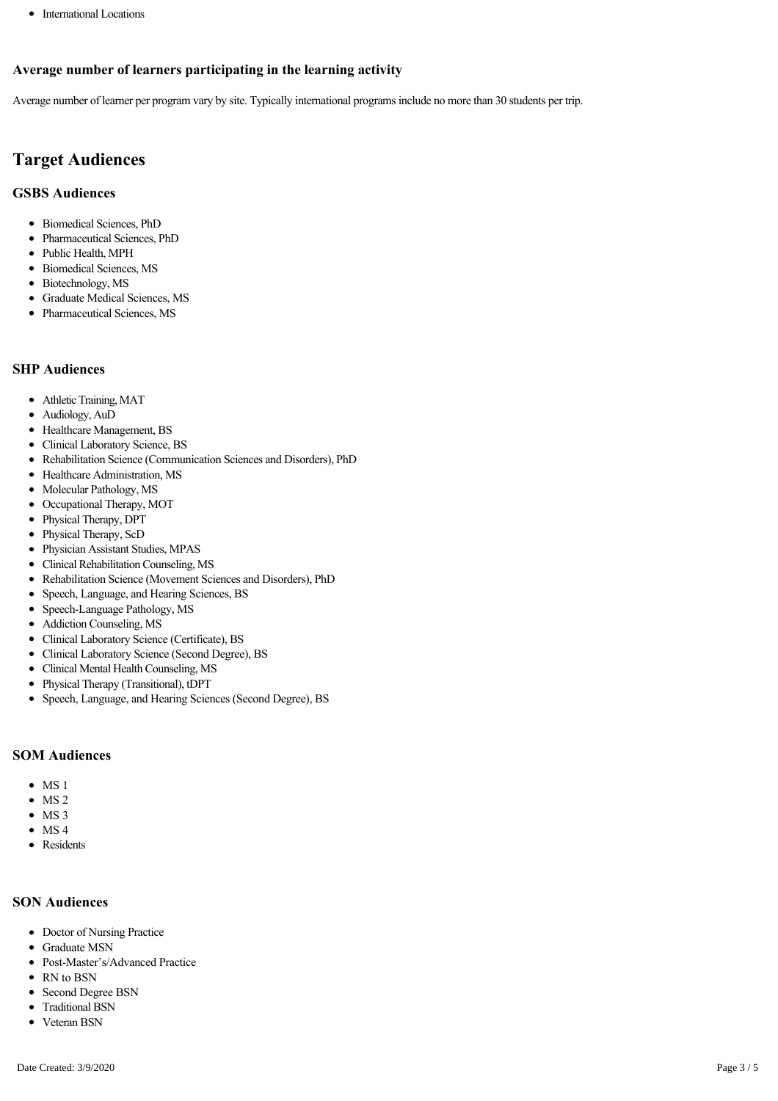• International Locations

# **Average number of learners participating in the learning activity**

Average number of learner per program vary by site. Typically international programs include no more than 30 students per trip.

# **Target Audiences**

### **GSBS Audiences**

- Biomedical Sciences, PhD
- Pharmaceutical Sciences, PhD
- Public Health, MPH
- Biomedical Sciences, MS
- Biotechnology, MS
- Graduate Medical Sciences, MS
- Pharmaceutical Sciences, MS

# **SHP Audiences**

- Athletic Training, MAT
- Audiology, AuD
- Healthcare Management, BS
- Clinical Laboratory Science, BS
- Rehabilitation Science (Communication Sciences and Disorders), PhD
- Healthcare Administration, MS
- Molecular Pathology, MS
- $\bullet$ Occupational Therapy, MOT
- $\bullet$ Physical Therapy, DPT
- Physical Therapy, ScD
- $\bullet$ Physician Assistant Studies, MPAS
- Clinical Rehabilitation Counseling, MS  $\bullet$
- Rehabilitation Science (Movement Sciences and Disorders), PhD  $\bullet$
- Speech, Language, and Hearing Sciences, BS
- Speech-Language Pathology, MS
- Addiction Counseling, MS
- Clinical Laboratory Science (Certificate), BS
- Clinical Laboratory Science (Second Degree), BS
- Clinical Mental Health Counseling, MS
- Physical Therapy (Transitional), tDPT
- Speech, Language, and Hearing Sciences (Second Degree), BS

# **SOM Audiences**

- $\bullet$  MS 1
- MS 2
- $\bullet$  MS 3
- $\bullet$  MS4
- Residents

# **SON Audiences**

- Doctor of Nursing Practice
- Graduate MSN
- Post-Master's/Advanced Practice
- RN to BSN
- Second Degree BSN
- Traditional BSN
- Veteran BSN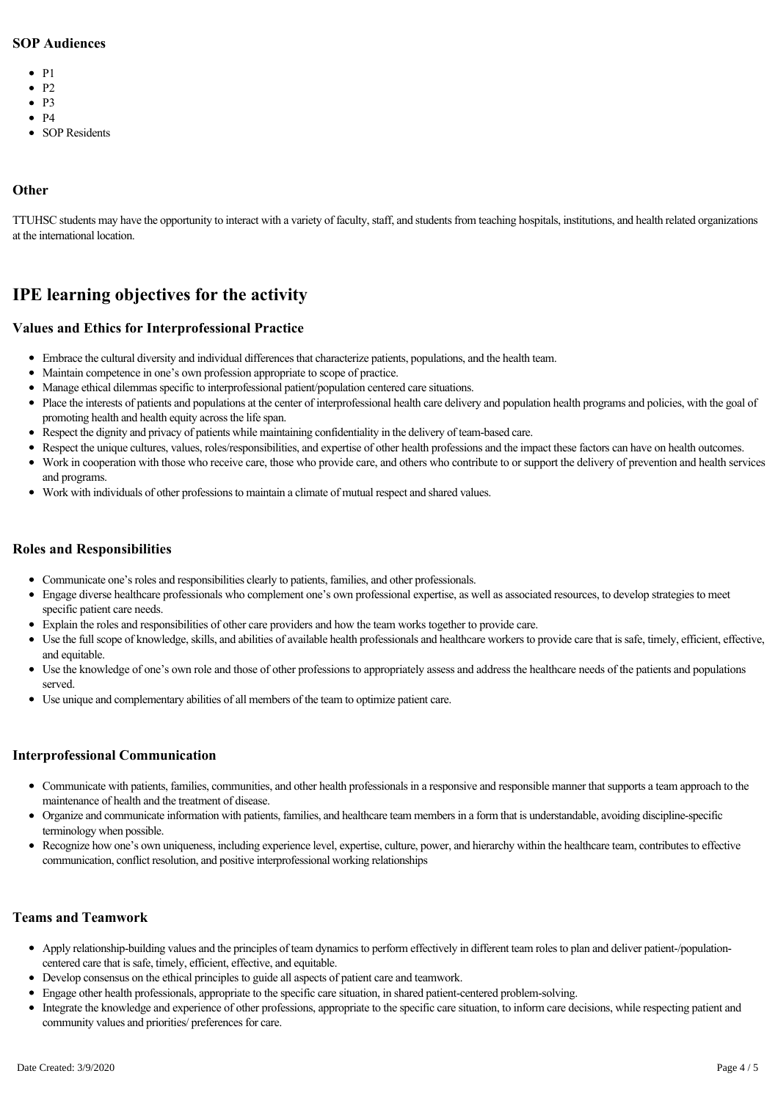#### **SOP Audiences**

- $\bullet$  P1
- $\bullet$  P<sub>2</sub>
	-
- $\bullet$  P<sub>3</sub>
- $\bullet$  P4
- SOP Residents

### **Other**

TTUHSC students may have the opportunity to interact with a variety of faculty, staff, and students from teaching hospitals, institutions, and health related organizations at the international location.

# **IPE learning objectives for the activity**

### **Values and Ethics for Interprofessional Practice**

- Embrace the cultural diversity and individual differences that characterize patients, populations, and the health team.
- Maintain competence in one's own profession appropriate to scope of practice.
- Manage ethical dilemmas specific to interprofessional patient/population centered care situations.
- Place the interests of patients and populations at the center of interprofessional health care delivery and population health programs and policies, with the goal of promoting health and health equity across the life span.
- Respect the dignity and privacy of patients while maintaining confidentiality in the delivery of teambased care.
- Respect the unique cultures, values, roles/responsibilities, and expertise of other health professions and the impact these factors can have on health outcomes.
- Work in cooperation with those who receive care, those who provide care, and others who contribute to or support the delivery of prevention and health services and programs.
- Work with individuals of other professions to maintain a climate of mutual respect and shared values.

### **Roles and Responsibilities**

- Communicate one's roles and responsibilities clearly to patients, families, and other professionals.
- Engage diverse healthcare professionals who complement one's own professional expertise, as well as associated resources, to develop strategies to meet specific patient care needs.
- Explain the roles and responsibilities of other care providers and how the team works together to provide care.
- Use the full scope of knowledge, skills, and abilities of available health professionals and healthcare workers to provide care that is safe, timely, efficient, effective, and equitable.
- Use the knowledge of one's own role and those of other professions to appropriately assess and address the healthcare needs of the patients and populations served.
- Use unique and complementary abilities of all members of the team to optimize patient care.

#### **Interprofessional Communication**

- Communicate with patients, families, communities, and other health professionals in a responsive and responsible manner that supports a team approach to the maintenance of health and the treatment of disease.
- Organize and communicate information with patients, families, and healthcare team members in a form that is understandable, avoiding disciplinespecific terminology when possible.
- Recognize how one's own uniqueness, including experience level, expertise, culture, power, and hierarchy within the healthcare team, contributes to effective  $\bullet$ communication, conflict resolution, and positive interprofessional working relationships

#### **Teams and Teamwork**

- Apply relationship-building values and the principles of team dynamics to perform effectively in different team roles to plan and deliver patient-/populationcentered care that is safe, timely, efficient, effective, and equitable.
- Develop consensus on the ethical principles to guide all aspects of patient care and teamwork.
- Engage other health professionals, appropriate to the specific care situation, in shared patient-centered problem-solving.
- Integrate the knowledge and experience of other professions, appropriate to the specific care situation, to inform care decisions, while respecting patient and  $\bullet$ community values and priorities/ preferences for care.